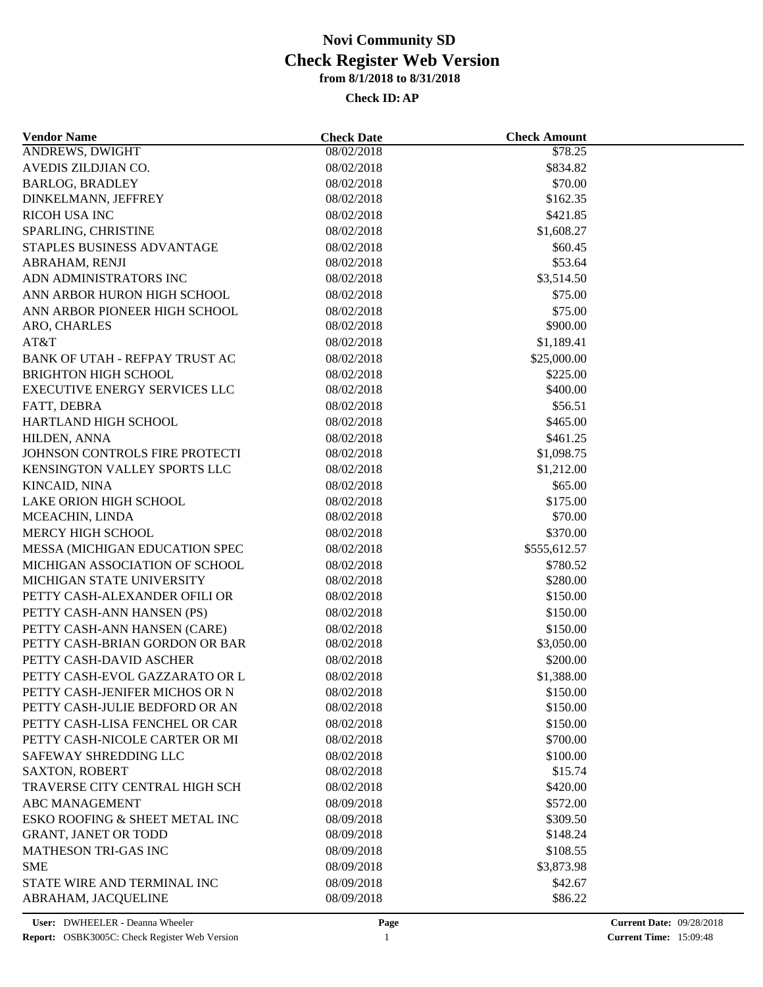| <b>Vendor Name</b>                   | <b>Check Date</b> | <b>Check Amount</b> |  |
|--------------------------------------|-------------------|---------------------|--|
| <b>ANDREWS, DWIGHT</b>               | 08/02/2018        | \$78.25             |  |
| AVEDIS ZILDJIAN CO.                  | 08/02/2018        | \$834.82            |  |
| <b>BARLOG, BRADLEY</b>               | 08/02/2018        | \$70.00             |  |
| DINKELMANN, JEFFREY                  | 08/02/2018        | \$162.35            |  |
| RICOH USA INC                        | 08/02/2018        | \$421.85            |  |
| SPARLING, CHRISTINE                  | 08/02/2018        | \$1,608.27          |  |
| STAPLES BUSINESS ADVANTAGE           | 08/02/2018        | \$60.45             |  |
| ABRAHAM, RENJI                       | 08/02/2018        | \$53.64             |  |
| ADN ADMINISTRATORS INC               | 08/02/2018        | \$3,514.50          |  |
| ANN ARBOR HURON HIGH SCHOOL          | 08/02/2018        | \$75.00             |  |
| ANN ARBOR PIONEER HIGH SCHOOL        | 08/02/2018        | \$75.00             |  |
| ARO, CHARLES                         | 08/02/2018        | \$900.00            |  |
| AT&T                                 | 08/02/2018        | \$1,189.41          |  |
| BANK OF UTAH - REFPAY TRUST AC       | 08/02/2018        | \$25,000.00         |  |
| <b>BRIGHTON HIGH SCHOOL</b>          | 08/02/2018        | \$225.00            |  |
| <b>EXECUTIVE ENERGY SERVICES LLC</b> | 08/02/2018        | \$400.00            |  |
| FATT, DEBRA                          | 08/02/2018        | \$56.51             |  |
| HARTLAND HIGH SCHOOL                 | 08/02/2018        | \$465.00            |  |
| HILDEN, ANNA                         | 08/02/2018        | \$461.25            |  |
| JOHNSON CONTROLS FIRE PROTECTI       | 08/02/2018        | \$1,098.75          |  |
| KENSINGTON VALLEY SPORTS LLC         | 08/02/2018        | \$1,212.00          |  |
| KINCAID, NINA                        | 08/02/2018        | \$65.00             |  |
| LAKE ORION HIGH SCHOOL               | 08/02/2018        | \$175.00            |  |
| MCEACHIN, LINDA                      | 08/02/2018        | \$70.00             |  |
| MERCY HIGH SCHOOL                    | 08/02/2018        | \$370.00            |  |
| MESSA (MICHIGAN EDUCATION SPEC       | 08/02/2018        | \$555,612.57        |  |
| MICHIGAN ASSOCIATION OF SCHOOL       | 08/02/2018        | \$780.52            |  |
| MICHIGAN STATE UNIVERSITY            | 08/02/2018        | \$280.00            |  |
| PETTY CASH-ALEXANDER OFILI OR        | 08/02/2018        | \$150.00            |  |
| PETTY CASH-ANN HANSEN (PS)           | 08/02/2018        | \$150.00            |  |
| PETTY CASH-ANN HANSEN (CARE)         | 08/02/2018        | \$150.00            |  |
| PETTY CASH-BRIAN GORDON OR BAR       | 08/02/2018        | \$3,050.00          |  |
| PETTY CASH-DAVID ASCHER              | 08/02/2018        | \$200.00            |  |
| PETTY CASH-EVOL GAZZARATO OR L       | 08/02/2018        | \$1,388.00          |  |
| PETTY CASH-JENIFER MICHOS OR N       | 08/02/2018        | \$150.00            |  |
| PETTY CASH-JULIE BEDFORD OR AN       | 08/02/2018        | \$150.00            |  |
| PETTY CASH-LISA FENCHEL OR CAR       | 08/02/2018        | \$150.00            |  |
| PETTY CASH-NICOLE CARTER OR MI       | 08/02/2018        | \$700.00            |  |
| SAFEWAY SHREDDING LLC                | 08/02/2018        |                     |  |
| <b>SAXTON, ROBERT</b>                | 08/02/2018        | \$100.00<br>\$15.74 |  |
| TRAVERSE CITY CENTRAL HIGH SCH       | 08/02/2018        | \$420.00            |  |
|                                      |                   |                     |  |
| <b>ABC MANAGEMENT</b>                | 08/09/2018        | \$572.00            |  |
| ESKO ROOFING & SHEET METAL INC       | 08/09/2018        | \$309.50            |  |
| <b>GRANT, JANET OR TODD</b>          | 08/09/2018        | \$148.24            |  |
| <b>MATHESON TRI-GAS INC</b>          | 08/09/2018        | \$108.55            |  |
| <b>SME</b>                           | 08/09/2018        | \$3,873.98          |  |
| STATE WIRE AND TERMINAL INC          | 08/09/2018        | \$42.67             |  |
| ABRAHAM, JACQUELINE                  | 08/09/2018        | \$86.22             |  |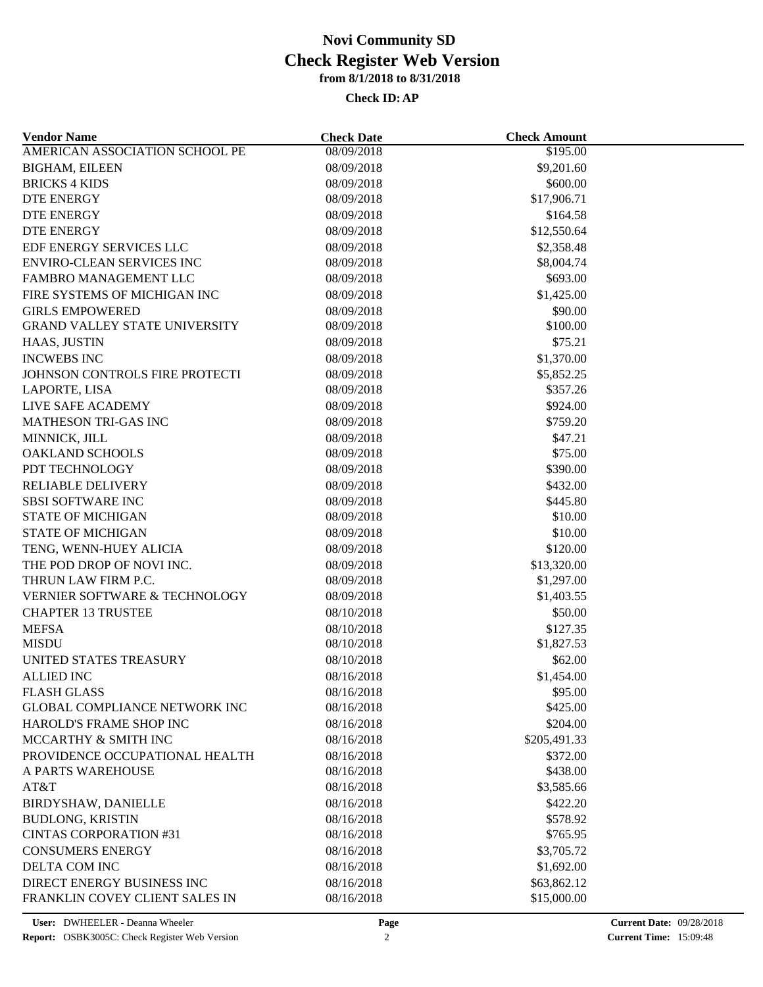| <b>Vendor Name</b>                   | <b>Check Date</b> | <b>Check Amount</b>    |  |
|--------------------------------------|-------------------|------------------------|--|
| AMERICAN ASSOCIATION SCHOOL PE       | 08/09/2018        | \$195.00               |  |
| <b>BIGHAM, EILEEN</b>                | 08/09/2018        | \$9,201.60             |  |
| <b>BRICKS 4 KIDS</b>                 | 08/09/2018        | \$600.00               |  |
| <b>DTE ENERGY</b>                    | 08/09/2018        | \$17,906.71            |  |
| <b>DTE ENERGY</b>                    | 08/09/2018        | \$164.58               |  |
| <b>DTE ENERGY</b>                    | 08/09/2018        | \$12,550.64            |  |
| EDF ENERGY SERVICES LLC              | 08/09/2018        | \$2,358.48             |  |
| <b>ENVIRO-CLEAN SERVICES INC</b>     | 08/09/2018        | \$8,004.74             |  |
| FAMBRO MANAGEMENT LLC                | 08/09/2018        | \$693.00               |  |
| FIRE SYSTEMS OF MICHIGAN INC         | 08/09/2018        | \$1,425.00             |  |
| <b>GIRLS EMPOWERED</b>               | 08/09/2018        | \$90.00                |  |
| <b>GRAND VALLEY STATE UNIVERSITY</b> | 08/09/2018        | \$100.00               |  |
| HAAS, JUSTIN                         | 08/09/2018        | \$75.21                |  |
| <b>INCWEBS INC</b>                   | 08/09/2018        | \$1,370.00             |  |
| JOHNSON CONTROLS FIRE PROTECTI       | 08/09/2018        | \$5,852.25             |  |
| LAPORTE, LISA                        | 08/09/2018        | \$357.26               |  |
| <b>LIVE SAFE ACADEMY</b>             | 08/09/2018        | \$924.00               |  |
| <b>MATHESON TRI-GAS INC</b>          | 08/09/2018        | \$759.20               |  |
| MINNICK, JILL                        | 08/09/2018        | \$47.21                |  |
| <b>OAKLAND SCHOOLS</b>               | 08/09/2018        | \$75.00                |  |
| PDT TECHNOLOGY                       | 08/09/2018        | \$390.00               |  |
| <b>RELIABLE DELIVERY</b>             | 08/09/2018        | \$432.00               |  |
| <b>SBSI SOFTWARE INC</b>             | 08/09/2018        | \$445.80               |  |
| <b>STATE OF MICHIGAN</b>             | 08/09/2018        | \$10.00                |  |
| <b>STATE OF MICHIGAN</b>             | 08/09/2018        | \$10.00                |  |
| TENG, WENN-HUEY ALICIA               | 08/09/2018        | \$120.00               |  |
| THE POD DROP OF NOVI INC.            | 08/09/2018        | \$13,320.00            |  |
| THRUN LAW FIRM P.C.                  | 08/09/2018        | \$1,297.00             |  |
| VERNIER SOFTWARE & TECHNOLOGY        | 08/09/2018        | \$1,403.55             |  |
| <b>CHAPTER 13 TRUSTEE</b>            | 08/10/2018        | \$50.00                |  |
| <b>MEFSA</b>                         | 08/10/2018        |                        |  |
| <b>MISDU</b>                         | 08/10/2018        | \$127.35<br>\$1,827.53 |  |
| UNITED STATES TREASURY               |                   |                        |  |
|                                      | 08/10/2018        | \$62.00                |  |
| <b>ALLIED INC</b>                    | 08/16/2018        | \$1,454.00             |  |
| <b>FLASH GLASS</b>                   | 08/16/2018        | \$95.00                |  |
| <b>GLOBAL COMPLIANCE NETWORK INC</b> | 08/16/2018        | \$425.00               |  |
| HAROLD'S FRAME SHOP INC              | 08/16/2018        | \$204.00               |  |
| MCCARTHY & SMITH INC                 | 08/16/2018        | \$205,491.33           |  |
| PROVIDENCE OCCUPATIONAL HEALTH       | 08/16/2018        | \$372.00               |  |
| A PARTS WAREHOUSE                    | 08/16/2018        | \$438.00               |  |
| AT&T                                 | 08/16/2018        | \$3,585.66             |  |
| BIRDYSHAW, DANIELLE                  | 08/16/2018        | \$422.20               |  |
| <b>BUDLONG, KRISTIN</b>              | 08/16/2018        | \$578.92               |  |
| <b>CINTAS CORPORATION #31</b>        | 08/16/2018        | \$765.95               |  |
| <b>CONSUMERS ENERGY</b>              | 08/16/2018        | \$3,705.72             |  |
| DELTA COM INC                        | 08/16/2018        | \$1,692.00             |  |
| DIRECT ENERGY BUSINESS INC           | 08/16/2018        | \$63,862.12            |  |
| FRANKLIN COVEY CLIENT SALES IN       | 08/16/2018        | \$15,000.00            |  |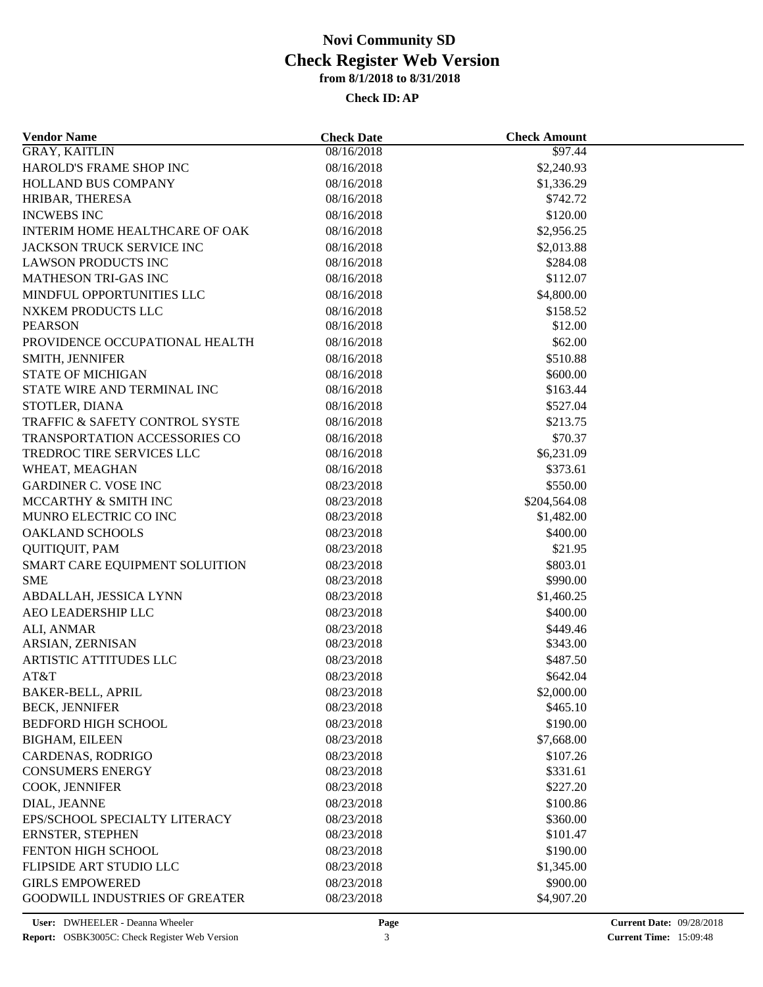| <b>Vendor Name</b>                            | <b>Check Date</b> | <b>Check Amount</b>  |  |
|-----------------------------------------------|-------------------|----------------------|--|
| <b>GRAY, KAITLIN</b>                          | 08/16/2018        | \$97.44              |  |
| HAROLD'S FRAME SHOP INC                       | 08/16/2018        | \$2,240.93           |  |
| HOLLAND BUS COMPANY                           | 08/16/2018        | \$1,336.29           |  |
| HRIBAR, THERESA                               | 08/16/2018        | \$742.72             |  |
| <b>INCWEBS INC</b>                            | 08/16/2018        | \$120.00             |  |
| INTERIM HOME HEALTHCARE OF OAK                | 08/16/2018        | \$2,956.25           |  |
| JACKSON TRUCK SERVICE INC                     | 08/16/2018        | \$2,013.88           |  |
| <b>LAWSON PRODUCTS INC</b>                    | 08/16/2018        | \$284.08             |  |
| <b>MATHESON TRI-GAS INC</b>                   | 08/16/2018        | \$112.07             |  |
| MINDFUL OPPORTUNITIES LLC                     | 08/16/2018        | \$4,800.00           |  |
| NXKEM PRODUCTS LLC                            | 08/16/2018        | \$158.52             |  |
| <b>PEARSON</b>                                | 08/16/2018        | \$12.00              |  |
| PROVIDENCE OCCUPATIONAL HEALTH                | 08/16/2018        | \$62.00              |  |
| SMITH, JENNIFER                               | 08/16/2018        | \$510.88             |  |
| <b>STATE OF MICHIGAN</b>                      | 08/16/2018        | \$600.00             |  |
| STATE WIRE AND TERMINAL INC                   | 08/16/2018        | \$163.44             |  |
| STOTLER, DIANA                                | 08/16/2018        | \$527.04             |  |
| TRAFFIC & SAFETY CONTROL SYSTE                | 08/16/2018        | \$213.75             |  |
| TRANSPORTATION ACCESSORIES CO                 | 08/16/2018        | \$70.37              |  |
| TREDROC TIRE SERVICES LLC                     | 08/16/2018        | \$6,231.09           |  |
| WHEAT, MEAGHAN                                | 08/16/2018        | \$373.61             |  |
| <b>GARDINER C. VOSE INC</b>                   | 08/23/2018        | \$550.00             |  |
| MCCARTHY & SMITH INC                          | 08/23/2018        | \$204,564.08         |  |
| MUNRO ELECTRIC CO INC                         | 08/23/2018        | \$1,482.00           |  |
| <b>OAKLAND SCHOOLS</b>                        | 08/23/2018        | \$400.00             |  |
| <b>QUITIQUIT, PAM</b>                         | 08/23/2018        | \$21.95              |  |
| SMART CARE EQUIPMENT SOLUITION                | 08/23/2018        | \$803.01             |  |
| <b>SME</b>                                    | 08/23/2018        | \$990.00             |  |
| ABDALLAH, JESSICA LYNN                        | 08/23/2018        | \$1,460.25           |  |
| AEO LEADERSHIP LLC                            | 08/23/2018        | \$400.00             |  |
| ALI, ANMAR                                    | 08/23/2018        | \$449.46             |  |
| ARSIAN, ZERNISAN                              | 08/23/2018        | \$343.00             |  |
| <b>ARTISTIC ATTITUDES LLC</b>                 | 08/23/2018        | \$487.50             |  |
| AT&T                                          | 08/23/2018        | \$642.04             |  |
| <b>BAKER-BELL, APRIL</b>                      | 08/23/2018        | \$2,000.00           |  |
| <b>BECK, JENNIFER</b>                         | 08/23/2018        | \$465.10             |  |
| <b>BEDFORD HIGH SCHOOL</b>                    | 08/23/2018        | \$190.00             |  |
| <b>BIGHAM, EILEEN</b>                         | 08/23/2018        | \$7,668.00           |  |
| CARDENAS, RODRIGO                             | 08/23/2018        | \$107.26             |  |
| <b>CONSUMERS ENERGY</b>                       | 08/23/2018        | \$331.61             |  |
| COOK, JENNIFER                                | 08/23/2018        | \$227.20             |  |
| DIAL, JEANNE                                  | 08/23/2018        | \$100.86             |  |
| EPS/SCHOOL SPECIALTY LITERACY                 | 08/23/2018        | \$360.00             |  |
|                                               | 08/23/2018        |                      |  |
| ERNSTER, STEPHEN<br><b>FENTON HIGH SCHOOL</b> | 08/23/2018        | \$101.47<br>\$190.00 |  |
|                                               |                   |                      |  |
| FLIPSIDE ART STUDIO LLC                       | 08/23/2018        | \$1,345.00           |  |
| <b>GIRLS EMPOWERED</b>                        | 08/23/2018        | \$900.00             |  |
| <b>GOODWILL INDUSTRIES OF GREATER</b>         | 08/23/2018        | \$4,907.20           |  |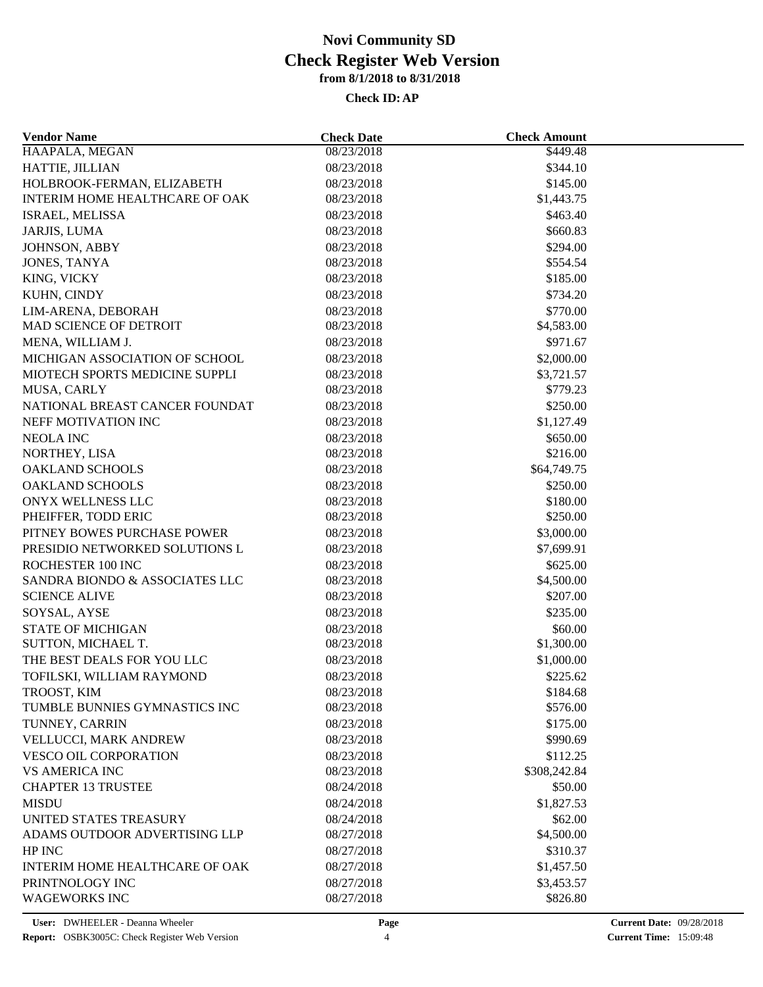| <b>Vendor Name</b>                       | <b>Check Date</b>        | <b>Check Amount</b>  |  |
|------------------------------------------|--------------------------|----------------------|--|
| HAAPALA, MEGAN                           | 08/23/2018               | \$449.48             |  |
| HATTIE, JILLIAN                          | 08/23/2018               | \$344.10             |  |
| HOLBROOK-FERMAN, ELIZABETH               | 08/23/2018               | \$145.00             |  |
| <b>INTERIM HOME HEALTHCARE OF OAK</b>    | 08/23/2018               | \$1,443.75           |  |
| ISRAEL, MELISSA                          | 08/23/2018               | \$463.40             |  |
| JARJIS, LUMA                             | 08/23/2018               | \$660.83             |  |
| JOHNSON, ABBY                            | 08/23/2018               | \$294.00             |  |
| JONES, TANYA                             | 08/23/2018               | \$554.54             |  |
| KING, VICKY                              | 08/23/2018               | \$185.00             |  |
| KUHN, CINDY                              | 08/23/2018               | \$734.20             |  |
| LIM-ARENA, DEBORAH                       | 08/23/2018               | \$770.00             |  |
| <b>MAD SCIENCE OF DETROIT</b>            | 08/23/2018               | \$4,583.00           |  |
| MENA, WILLIAM J.                         | 08/23/2018               | \$971.67             |  |
| MICHIGAN ASSOCIATION OF SCHOOL           | 08/23/2018               | \$2,000.00           |  |
| MIOTECH SPORTS MEDICINE SUPPLI           | 08/23/2018               | \$3,721.57           |  |
| MUSA, CARLY                              | 08/23/2018               | \$779.23             |  |
| NATIONAL BREAST CANCER FOUNDAT           | 08/23/2018               | \$250.00             |  |
| NEFF MOTIVATION INC                      | 08/23/2018               | \$1,127.49           |  |
| <b>NEOLA INC</b>                         | 08/23/2018               | \$650.00             |  |
| NORTHEY, LISA                            | 08/23/2018               | \$216.00             |  |
| <b>OAKLAND SCHOOLS</b>                   | 08/23/2018               | \$64,749.75          |  |
| <b>OAKLAND SCHOOLS</b>                   | 08/23/2018               | \$250.00             |  |
|                                          |                          |                      |  |
| ONYX WELLNESS LLC<br>PHEIFFER, TODD ERIC | 08/23/2018<br>08/23/2018 | \$180.00<br>\$250.00 |  |
| PITNEY BOWES PURCHASE POWER              |                          |                      |  |
|                                          | 08/23/2018               | \$3,000.00           |  |
| PRESIDIO NETWORKED SOLUTIONS L           | 08/23/2018               | \$7,699.91           |  |
| ROCHESTER 100 INC                        | 08/23/2018               | \$625.00             |  |
| SANDRA BIONDO & ASSOCIATES LLC           | 08/23/2018               | \$4,500.00           |  |
| <b>SCIENCE ALIVE</b>                     | 08/23/2018               | \$207.00             |  |
| SOYSAL, AYSE                             | 08/23/2018               | \$235.00             |  |
| <b>STATE OF MICHIGAN</b>                 | 08/23/2018               | \$60.00              |  |
| SUTTON, MICHAEL T.                       | 08/23/2018               | \$1,300.00           |  |
| THE BEST DEALS FOR YOU LLC               | 08/23/2018               | \$1,000.00           |  |
| TOFILSKI, WILLIAM RAYMOND                | 08/23/2018               | \$225.62             |  |
| TROOST, KIM                              | 08/23/2018               | \$184.68             |  |
| TUMBLE BUNNIES GYMNASTICS INC            | 08/23/2018               | \$576.00             |  |
| TUNNEY, CARRIN                           | 08/23/2018               | \$175.00             |  |
| VELLUCCI, MARK ANDREW                    | 08/23/2018               | \$990.69             |  |
| <b>VESCO OIL CORPORATION</b>             | 08/23/2018               | \$112.25             |  |
| <b>VS AMERICA INC</b>                    | 08/23/2018               | \$308,242.84         |  |
| <b>CHAPTER 13 TRUSTEE</b>                | 08/24/2018               | \$50.00              |  |
| <b>MISDU</b>                             | 08/24/2018               | \$1,827.53           |  |
| UNITED STATES TREASURY                   | 08/24/2018               | \$62.00              |  |
| ADAMS OUTDOOR ADVERTISING LLP            | 08/27/2018               | \$4,500.00           |  |
| HP INC                                   | 08/27/2018               | \$310.37             |  |
| INTERIM HOME HEALTHCARE OF OAK           | 08/27/2018               | \$1,457.50           |  |
| PRINTNOLOGY INC                          | 08/27/2018               | \$3,453.57           |  |
| <b>WAGEWORKS INC</b>                     | 08/27/2018               | \$826.80             |  |
|                                          |                          |                      |  |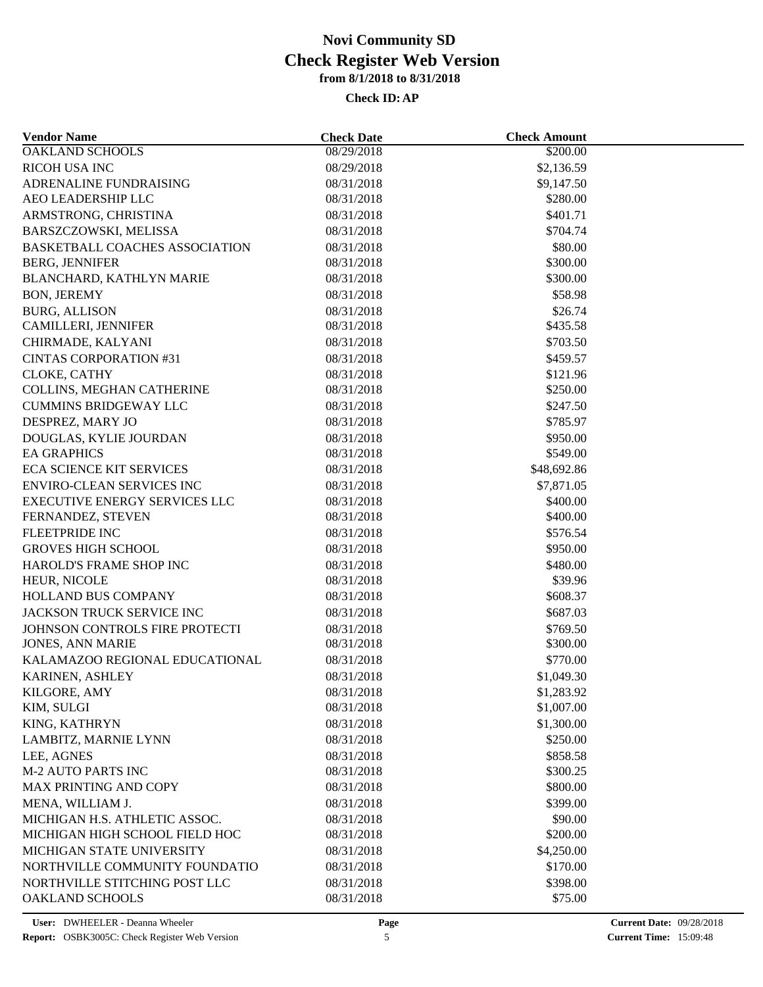| <b>Vendor Name</b>                      | <b>Check Date</b> | <b>Check Amount</b> |  |
|-----------------------------------------|-------------------|---------------------|--|
| <b>OAKLAND SCHOOLS</b>                  | 08/29/2018        | \$200.00            |  |
| <b>RICOH USA INC</b>                    | 08/29/2018        | \$2,136.59          |  |
| ADRENALINE FUNDRAISING                  | 08/31/2018        | \$9,147.50          |  |
| AEO LEADERSHIP LLC                      | 08/31/2018        | \$280.00            |  |
| ARMSTRONG, CHRISTINA                    | 08/31/2018        | \$401.71            |  |
| BARSZCZOWSKI, MELISSA                   | 08/31/2018        | \$704.74            |  |
| <b>BASKETBALL COACHES ASSOCIATION</b>   | 08/31/2018        | \$80.00             |  |
| <b>BERG, JENNIFER</b>                   | 08/31/2018        | \$300.00            |  |
| BLANCHARD, KATHLYN MARIE                | 08/31/2018        | \$300.00            |  |
| <b>BON, JEREMY</b>                      | 08/31/2018        | \$58.98             |  |
| <b>BURG, ALLISON</b>                    | 08/31/2018        | \$26.74             |  |
| CAMILLERI, JENNIFER                     | 08/31/2018        | \$435.58            |  |
| CHIRMADE, KALYANI                       | 08/31/2018        | \$703.50            |  |
| <b>CINTAS CORPORATION #31</b>           | 08/31/2018        | \$459.57            |  |
| CLOKE, CATHY                            | 08/31/2018        | \$121.96            |  |
| COLLINS, MEGHAN CATHERINE               | 08/31/2018        | \$250.00            |  |
| <b>CUMMINS BRIDGEWAY LLC</b>            | 08/31/2018        | \$247.50            |  |
| DESPREZ, MARY JO                        | 08/31/2018        | \$785.97            |  |
| DOUGLAS, KYLIE JOURDAN                  | 08/31/2018        | \$950.00            |  |
| <b>EA GRAPHICS</b>                      | 08/31/2018        | \$549.00            |  |
| <b>ECA SCIENCE KIT SERVICES</b>         | 08/31/2018        | \$48,692.86         |  |
| <b>ENVIRO-CLEAN SERVICES INC</b>        | 08/31/2018        | \$7,871.05          |  |
| <b>EXECUTIVE ENERGY SERVICES LLC</b>    | 08/31/2018        | \$400.00            |  |
| FERNANDEZ, STEVEN                       | 08/31/2018        | \$400.00            |  |
| <b>FLEETPRIDE INC</b>                   | 08/31/2018        | \$576.54            |  |
| <b>GROVES HIGH SCHOOL</b>               | 08/31/2018        | \$950.00            |  |
| HAROLD'S FRAME SHOP INC                 | 08/31/2018        | \$480.00            |  |
| HEUR, NICOLE                            | 08/31/2018        | \$39.96             |  |
| HOLLAND BUS COMPANY                     | 08/31/2018        | \$608.37            |  |
| JACKSON TRUCK SERVICE INC               | 08/31/2018        | \$687.03            |  |
| JOHNSON CONTROLS FIRE PROTECTI          | 08/31/2018        | \$769.50            |  |
| <b>JONES, ANN MARIE</b>                 | 08/31/2018        | \$300.00            |  |
| KALAMAZOO REGIONAL EDUCATIONAL          | 08/31/2018        | \$770.00            |  |
| KARINEN, ASHLEY                         | 08/31/2018        | \$1,049.30          |  |
|                                         | 08/31/2018        | \$1,283.92          |  |
| KILGORE, AMY<br>KIM, SULGI              | 08/31/2018        | \$1,007.00          |  |
| KING, KATHRYN                           | 08/31/2018        | \$1,300.00          |  |
|                                         |                   |                     |  |
| LAMBITZ, MARNIE LYNN                    | 08/31/2018        | \$250.00            |  |
| LEE, AGNES<br><b>M-2 AUTO PARTS INC</b> | 08/31/2018        | \$858.58            |  |
|                                         | 08/31/2018        | \$300.25            |  |
| <b>MAX PRINTING AND COPY</b>            | 08/31/2018        | \$800.00            |  |
| MENA, WILLIAM J.                        | 08/31/2018        | \$399.00            |  |
| MICHIGAN H.S. ATHLETIC ASSOC.           | 08/31/2018        | \$90.00             |  |
| MICHIGAN HIGH SCHOOL FIELD HOC          | 08/31/2018        | \$200.00            |  |
| MICHIGAN STATE UNIVERSITY               | 08/31/2018        | \$4,250.00          |  |
| NORTHVILLE COMMUNITY FOUNDATIO          | 08/31/2018        | \$170.00            |  |
| NORTHVILLE STITCHING POST LLC           | 08/31/2018        | \$398.00            |  |
| OAKLAND SCHOOLS                         | 08/31/2018        | \$75.00             |  |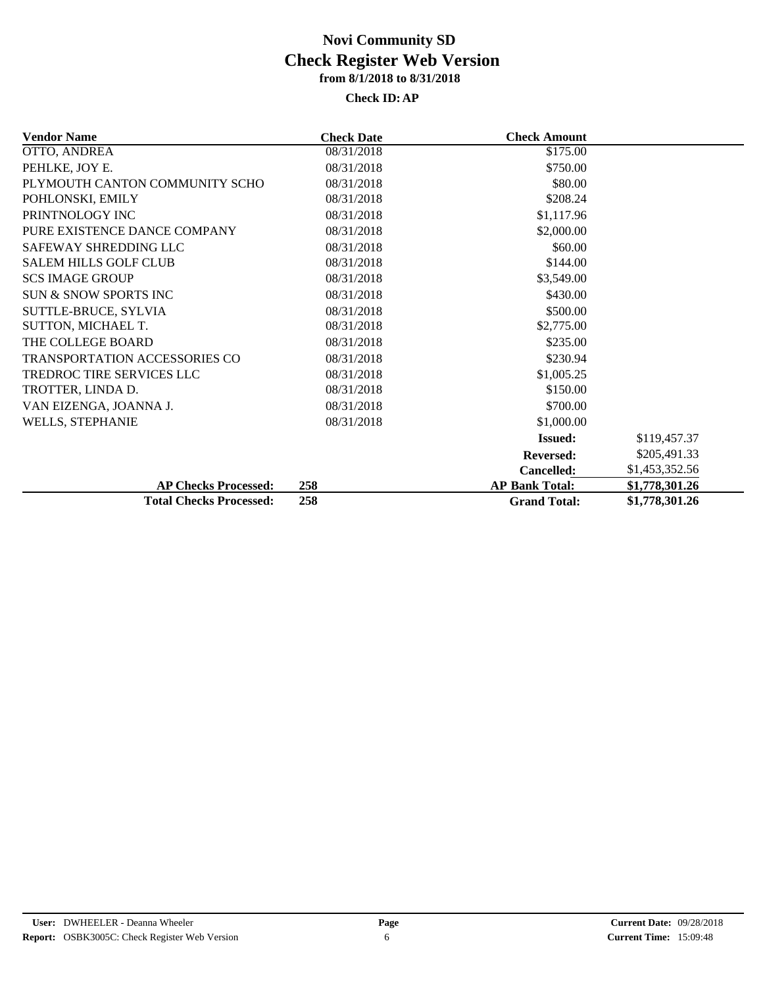| <b>Vendor Name</b>               | <b>Check Date</b>   | <b>Check Amount</b>   |                |
|----------------------------------|---------------------|-----------------------|----------------|
| OTTO, ANDREA                     | 08/31/2018          | \$175.00              |                |
| PEHLKE, JOY E.                   | 08/31/2018          | \$750.00              |                |
| PLYMOUTH CANTON COMMUNITY SCHO   | 08/31/2018          | \$80.00               |                |
| POHLONSKI, EMILY                 | 08/31/2018          | \$208.24              |                |
| PRINTNOLOGY INC                  | 08/31/2018          | \$1,117.96            |                |
| PURE EXISTENCE DANCE COMPANY     | 08/31/2018          | \$2,000.00            |                |
| SAFEWAY SHREDDING LLC            | 08/31/2018          | \$60.00               |                |
| <b>SALEM HILLS GOLF CLUB</b>     | 08/31/2018          | \$144.00              |                |
| <b>SCS IMAGE GROUP</b>           | 08/31/2018          | \$3,549.00            |                |
| <b>SUN &amp; SNOW SPORTS INC</b> | 08/31/2018          | \$430.00              |                |
| SUTTLE-BRUCE, SYLVIA             | 08/31/2018          | \$500.00              |                |
| SUTTON, MICHAEL T.               | 08/31/2018          | \$2,775.00            |                |
| THE COLLEGE BOARD                | 08/31/2018          | \$235.00              |                |
| TRANSPORTATION ACCESSORIES CO    | 08/31/2018          | \$230.94              |                |
| TREDROC TIRE SERVICES LLC        | 08/31/2018          | \$1,005.25            |                |
| TROTTER, LINDA D.                | 08/31/2018          | \$150.00              |                |
| VAN EIZENGA, JOANNA J.           | 08/31/2018          | \$700.00              |                |
| <b>WELLS, STEPHANIE</b>          | 08/31/2018          | \$1,000.00            |                |
|                                  |                     | <b>Issued:</b>        | \$119,457.37   |
|                                  |                     | <b>Reversed:</b>      | \$205,491.33   |
|                                  |                     | <b>Cancelled:</b>     | \$1,453,352.56 |
| <b>AP Checks Processed:</b>      | 258                 | <b>AP Bank Total:</b> | \$1,778,301.26 |
| <b>Total Checks Processed:</b>   | <b>Grand Total:</b> | \$1,778,301.26        |                |